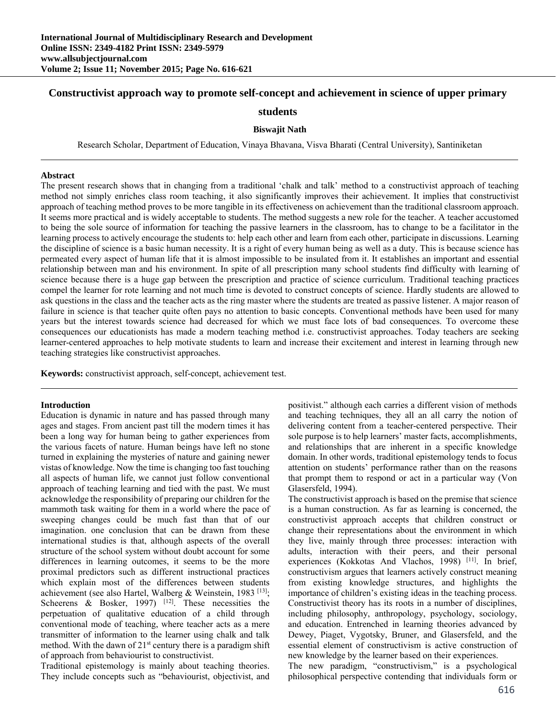# **Constructivist approach way to promote self-concept and achievement in science of upper primary**

# **students**

### **Biswajit Nath**

Research Scholar, Department of Education, Vinaya Bhavana, Visva Bharati (Central University), Santiniketan

#### **Abstract**

The present research shows that in changing from a traditional 'chalk and talk' method to a constructivist approach of teaching method not simply enriches class room teaching, it also significantly improves their achievement. It implies that constructivist approach of teaching method proves to be more tangible in its effectiveness on achievement than the traditional classroom approach. It seems more practical and is widely acceptable to students. The method suggests a new role for the teacher. A teacher accustomed to being the sole source of information for teaching the passive learners in the classroom, has to change to be a facilitator in the learning process to actively encourage the students to: help each other and learn from each other, participate in discussions. Learning the discipline of science is a basic human necessity. It is a right of every human being as well as a duty. This is because science has permeated every aspect of human life that it is almost impossible to be insulated from it. It establishes an important and essential relationship between man and his environment. In spite of all prescription many school students find difficulty with learning of science because there is a huge gap between the prescription and practice of science curriculum. Traditional teaching practices compel the learner for rote learning and not much time is devoted to construct concepts of science. Hardly students are allowed to ask questions in the class and the teacher acts as the ring master where the students are treated as passive listener. A major reason of failure in science is that teacher quite often pays no attention to basic concepts. Conventional methods have been used for many years but the interest towards science had decreased for which we must face lots of bad consequences. To overcome these consequences our educationists has made a modern teaching method i.e. constructivist approaches. Today teachers are seeking learner-centered approaches to help motivate students to learn and increase their excitement and interest in learning through new teaching strategies like constructivist approaches.

**Keywords:** constructivist approach, self-concept, achievement test.

### **Introduction**

Education is dynamic in nature and has passed through many ages and stages. From ancient past till the modern times it has been a long way for human being to gather experiences from the various facets of nature. Human beings have left no stone turned in explaining the mysteries of nature and gaining newer vistas of knowledge. Now the time is changing too fast touching all aspects of human life, we cannot just follow conventional approach of teaching learning and tied with the past. We must acknowledge the responsibility of preparing our children for the mammoth task waiting for them in a world where the pace of sweeping changes could be much fast than that of our imagination. one conclusion that can be drawn from these international studies is that, although aspects of the overall structure of the school system without doubt account for some differences in learning outcomes, it seems to be the more proximal predictors such as different instructional practices which explain most of the differences between students achievement (see also Hartel, Walberg & Weinstein, 1983 [13]; Scheerens  $\&$  Bosker, 1997) <sup>[12]</sup>. These necessities the perpetuation of qualitative education of a child through conventional mode of teaching, where teacher acts as a mere transmitter of information to the learner using chalk and talk method. With the dawn of  $21<sup>st</sup>$  century there is a paradigm shift of approach from behaviourist to constructivist.

Traditional epistemology is mainly about teaching theories. They include concepts such as "behaviourist, objectivist, and positivist." although each carries a different vision of methods and teaching techniques, they all an all carry the notion of delivering content from a teacher-centered perspective*.* Their sole purpose is to help learners' master facts, accomplishments, and relationships that are inherent in a specific knowledge domain. In other words, traditional epistemology tends to focus attention on students' performance rather than on the reasons that prompt them to respond or act in a particular way (Von Glasersfeld, 1994).

The constructivist approach is based on the premise that science is a human construction. As far as learning is concerned, the constructivist approach accepts that children construct or change their representations about the environment in which they live, mainly through three processes: interaction with adults, interaction with their peers, and their personal experiences (Kokkotas And Vlachos, 1998) [11]. In brief, constructivism argues that learners actively construct meaning from existing knowledge structures, and highlights the importance of children's existing ideas in the teaching process. Constructivist theory has its roots in a number of disciplines, including philosophy, anthropology, psychology, sociology, and education. Entrenched in learning theories advanced by Dewey, Piaget, Vygotsky, Bruner, and Glasersfeld, and the essential element of constructivism is active construction of new knowledge by the learner based on their experiences.

The new paradigm, "constructivism," is a psychological philosophical perspective contending that individuals form or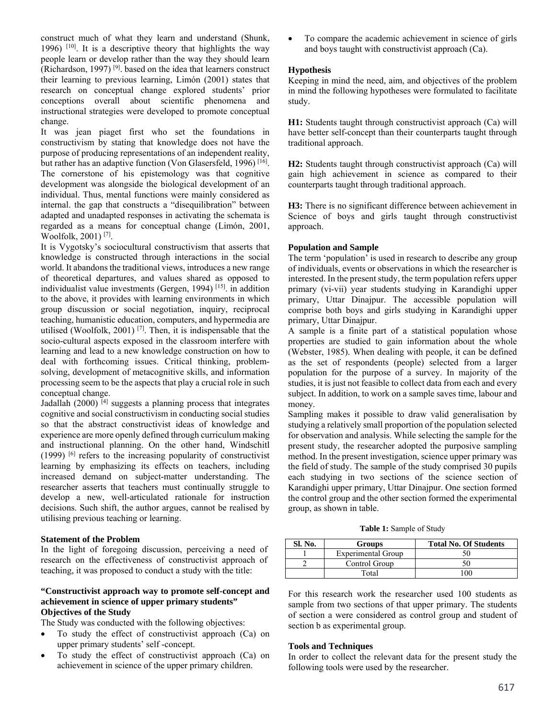construct much of what they learn and understand (Shunk, 1996)  $[10]$ . It is a descriptive theory that highlights the way people learn or develop rather than the way they should learn (Richardson, 1997) [9]. based on the idea that learners construct their learning to previous learning, Limόn (2001) states that research on conceptual change explored students' prior conceptions overall about scientific phenomena and instructional strategies were developed to promote conceptual change.

It was jean piaget first who set the foundations in constructivism by stating that knowledge does not have the purpose of producing representations of an independent reality, but rather has an adaptive function (Von Glasersfeld, 1996)<sup>[16]</sup>. The cornerstone of his epistemology was that cognitive development was alongside the biological development of an individual. Thus, mental functions were mainly considered as internal. the gap that constructs a "disequilibration" between adapted and unadapted responses in activating the schemata is regarded as a means for conceptual change (Limόn, 2001, Woolfolk, 2001) [7].

It is Vygotsky's sociocultural constructivism that asserts that knowledge is constructed through interactions in the social world. It abandons the traditional views, introduces a new range of theoretical departures, and values shared as opposed to individualist value investments (Gergen, 1994)<sup>[15]</sup>. in addition to the above, it provides with learning environments in which group discussion or social negotiation, inquiry, reciprocal teaching, humanistic education, computers, and hypermedia are utilised (Woolfolk, 2001) [7]. Then, it is indispensable that the socio-cultural aspects exposed in the classroom interfere with learning and lead to a new knowledge construction on how to deal with forthcoming issues. Critical thinking, problemsolving, development of metacognitive skills, and information processing seem to be the aspects that play a crucial role in such conceptual change.

Jadallah (2000)  $[4]$  suggests a planning process that integrates cognitive and social constructivism in conducting social studies so that the abstract constructivist ideas of knowledge and experience are more openly defined through curriculum making and instructional planning. On the other hand, Windschitl  $(1999)$  [6] refers to the increasing popularity of constructivist learning by emphasizing its effects on teachers, including increased demand on subject-matter understanding. The researcher asserts that teachers must continually struggle to develop a new, well-articulated rationale for instruction decisions. Such shift, the author argues, cannot be realised by utilising previous teaching or learning.

## **Statement of the Problem**

In the light of foregoing discussion, perceiving a need of research on the effectiveness of constructivist approach of teaching, it was proposed to conduct a study with the title:

### **"Constructivist approach way to promote self-concept and achievement in science of upper primary students" Objectives of the Study**

The Study was conducted with the following objectives:

- To study the effect of constructivist approach (Ca) on upper primary students' self -concept.
- To study the effect of constructivist approach (Ca) on achievement in science of the upper primary children.

 To compare the academic achievement in science of girls and boys taught with constructivist approach (Ca).

## **Hypothesis**

Keeping in mind the need, aim, and objectives of the problem in mind the following hypotheses were formulated to facilitate study.

**H1:** Students taught through constructivist approach (Ca) will have better self-concept than their counterparts taught through traditional approach.

**H2:** Students taught through constructivist approach (Ca) will gain high achievement in science as compared to their counterparts taught through traditional approach.

**H3:** There is no significant difference between achievement in Science of boys and girls taught through constructivist approach.

## **Population and Sample**

The term 'population' is used in research to describe any group of individuals, events or observations in which the researcher is interested. In the present study, the term population refers upper primary (vi-vii) year students studying in Karandighi upper primary, Uttar Dinajpur. The accessible population will comprise both boys and girls studying in Karandighi upper primary, Uttar Dinajpur.

A sample is a finite part of a statistical population whose properties are studied to gain information about the whole (Webster, 1985). When dealing with people, it can be defined as the set of respondents (people) selected from a larger population for the purpose of a survey. In majority of the studies, it is just not feasible to collect data from each and every subject. In addition, to work on a sample saves time, labour and money.

Sampling makes it possible to draw valid generalisation by studying a relatively small proportion of the population selected for observation and analysis. While selecting the sample for the present study, the researcher adopted the purposive sampling method. In the present investigation, science upper primary was the field of study. The sample of the study comprised 30 pupils each studying in two sections of the science section of Karandighi upper primary, Uttar Dinajpur. One section formed the control group and the other section formed the experimental group, as shown in table.

**Table 1:** Sample of Study

| Sl. No. | Groups                    | <b>Total No. Of Students</b> |
|---------|---------------------------|------------------------------|
|         | <b>Experimental Group</b> |                              |
|         | Control Group             |                              |
|         | Total                     |                              |

For this research work the researcher used 100 students as sample from two sections of that upper primary. The students of section a were considered as control group and student of section b as experimental group.

### **Tools and Techniques**

In order to collect the relevant data for the present study the following tools were used by the researcher.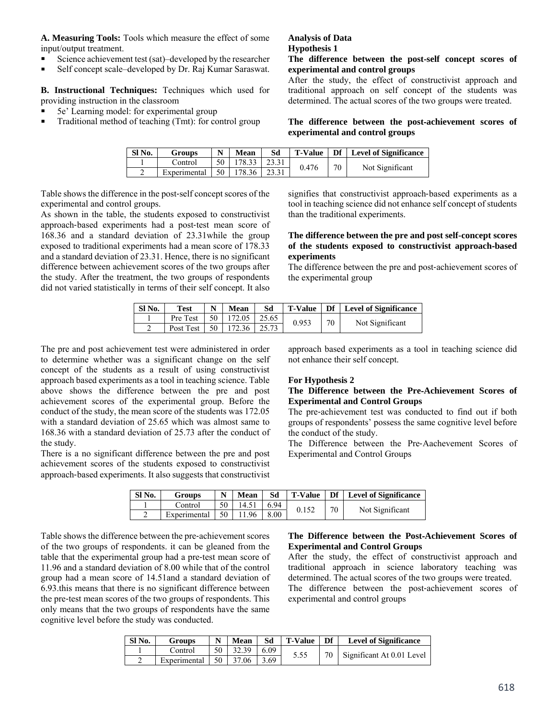**A. Measuring Tools:** Tools which measure the effect of some input/output treatment.

- Science achievement test (sat)–developed by the researcher
- Self concept scale–developed by Dr. Raj Kumar Saraswat.

**B. Instructional Techniques:** Techniques which used for providing instruction in the classroom

- 5e' Learning model: for experimental group
- **Traditional method of teaching (Tmt): for control group**

### **Analysis of Data Hypothesis 1**

## **The difference between the post**‐**self concept scores of experimental and control groups**

After the study, the effect of constructivist approach and traditional approach on self concept of the students was determined. The actual scores of the two groups were treated.

### **The difference between the post**‐**achievement scores of experimental and control groups**

| Sl No. | <b>Groups</b> | N  | <b>Mean</b> |       |       |    | T-Value   Df   Level of Significance |
|--------|---------------|----|-------------|-------|-------|----|--------------------------------------|
|        | Control       | 50 | 178.33      | 23.31 | 0.476 | 70 | Not Significant                      |
|        | Experimental  | 50 | 178.36      | 23.31 |       |    |                                      |

Table shows the difference in the post‐self concept scores of the experimental and control groups.

As shown in the table, the students exposed to constructivist approach‐based experiments had a post‐test mean score of 168.36 and a standard deviation of 23.31while the group exposed to traditional experiments had a mean score of 178.33 and a standard deviation of 23.31. Hence, there is no significant difference between achievement scores of the two groups after the study. After the treatment, the two groups of respondents did not varied statistically in terms of their self concept. It also

signifies that constructivist approach-based experiments as a tool in teaching science did not enhance self concept of students than the traditional experiments.

## **The difference between the pre and post self-concept scores of the students exposed to constructivist approach**‐**based experiments**

The difference between the pre and post-achievement scores of the experimental group

| SI No. | <b>Test</b> | $\mathbf N$ | <b>Mean</b> | Sd     | <b>T-Value</b> |    | <b>Deta</b> Level of Significance |
|--------|-------------|-------------|-------------|--------|----------------|----|-----------------------------------|
|        | Pre Test    | 50          | 172.05      | 125.65 | 0.953          | 70 |                                   |
|        | Post Test   | 50          | 172.36      | 125.73 |                |    | Not Significant                   |

The pre and post achievement test were administered in order to determine whether was a significant change on the self concept of the students as a result of using constructivist approach based experiments as a tool in teaching science. Table above shows the difference between the pre and post achievement scores of the experimental group. Before the conduct of the study, the mean score of the students was 172.05 with a standard deviation of 25.65 which was almost same to 168.36 with a standard deviation of 25.73 after the conduct of the study.

There is a no significant difference between the pre and post achievement scores of the students exposed to constructivist approach‐based experiments. It also suggests that constructivist

approach based experiments as a tool in teaching science did not enhance their self concept.

### **For Hypothesis 2**

### **The Difference between the Pre**‐**Achievement Scores of Experimental and Control Groups**

The pre‐achievement test was conducted to find out if both groups of respondents' possess the same cognitive level before the conduct of the study.

The Difference between the Pre‐Aachevement Scores of Experimental and Control Groups

| Sl No. | <b>Groups</b> | $\mathbf N$ | Mean  | Sd   | <b>T-Value</b> |    | <b>Deta</b> Level of Significance |
|--------|---------------|-------------|-------|------|----------------|----|-----------------------------------|
|        | Control       | 50          | 14.51 | 6.94 |                | 70 | Not Significant                   |
|        | Experimental  | 50          | 11.96 | 8.00 |                |    |                                   |

Table shows the difference between the pre‐achievement scores of the two groups of respondents. it can be gleaned from the table that the experimental group had a pre‐test mean score of 11.96 and a standard deviation of 8.00 while that of the control group had a mean score of 14.51and a standard deviation of 6.93.this means that there is no significant difference between the pre‐test mean scores of the two groups of respondents. This only means that the two groups of respondents have the same cognitive level before the study was conducted.

### **The Difference between the Post**‐**Achievement Scores of Experimental and Control Groups**

After the study, the effect of constructivist approach and traditional approach in science laboratory teaching was determined. The actual scores of the two groups were treated.

The difference between the post-achievement scores of experimental and control groups

| SI No. | Groups       | N  | Mean  | Sd   | <b>T-Value</b> | Df | <b>Level of Significance</b> |
|--------|--------------|----|-------|------|----------------|----|------------------------------|
|        | ' control    | 50 | 32.39 | 6.09 | 5.55           | 70 |                              |
|        | Experimental | 50 | 37.06 | 3.69 |                |    |                              |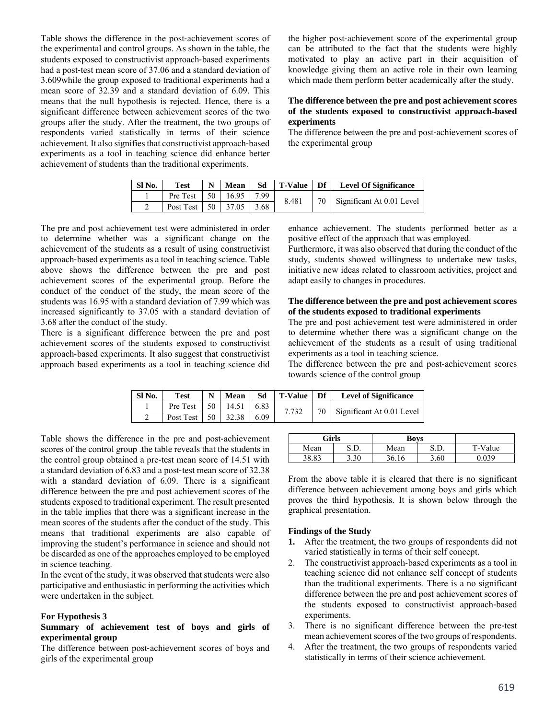Table shows the difference in the post‐achievement scores of the experimental and control groups. As shown in the table, the students exposed to constructivist approach‐based experiments had a post-test mean score of 37.06 and a standard deviation of 3.609while the group exposed to traditional experiments had a mean score of 32.39 and a standard deviation of 6.09. This means that the null hypothesis is rejected. Hence, there is a significant difference between achievement scores of the two groups after the study. After the treatment, the two groups of respondents varied statistically in terms of their science achievement. It also signifies that constructivist approach‐based experiments as a tool in teaching science did enhance better achievement of students than the traditional experiments.

the higher post‐achievement score of the experimental group can be attributed to the fact that the students were highly motivated to play an active part in their acquisition of knowledge giving them an active role in their own learning which made them perform better academically after the study.

### **The difference between the pre and post achievement scores of the students exposed to constructivist approach**‐**based experiments**

The difference between the pre and post-achievement scores of the experimental group

| Sl No. | <b>Test</b>                   | N | Mean       | Sd | T-Value Df |    | <b>Level Of Significance</b> |
|--------|-------------------------------|---|------------|----|------------|----|------------------------------|
|        | Pre Test $\vert$ 50 $\vert$   |   | 16.95 7.99 |    | 8.481      | 70 | Significant At 0.01 Level    |
|        | Post Test   50   37.05   3.68 |   |            |    |            |    |                              |

The pre and post achievement test were administered in order to determine whether was a significant change on the achievement of the students as a result of using constructivist approach‐based experiments as a tool in teaching science. Table above shows the difference between the pre and post achievement scores of the experimental group. Before the conduct of the conduct of the study, the mean score of the students was 16.95 with a standard deviation of 7.99 which was increased significantly to 37.05 with a standard deviation of 3.68 after the conduct of the study.

There is a significant difference between the pre and post achievement scores of the students exposed to constructivist approach‐based experiments. It also suggest that constructivist approach based experiments as a tool in teaching science did enhance achievement. The students performed better as a positive effect of the approach that was employed.

Furthermore, it was also observed that during the conduct of the study, students showed willingness to undertake new tasks, initiative new ideas related to classroom activities, project and adapt easily to changes in procedures.

## **The difference between the pre and post achievement scores of the students exposed to traditional experiments**

The pre and post achievement test were administered in order to determine whether there was a significant change on the achievement of the students as a result of using traditional experiments as a tool in teaching science.

The difference between the pre and post-achievement scores towards science of the control group

| SI No. | <b>Test</b> | N    | Mean  | Sd   | T-Value | Df | <b>Level of Significance</b>    |
|--------|-------------|------|-------|------|---------|----|---------------------------------|
|        | Pre Test    | 50 l | 14.51 | 6.83 | 7.732   |    | Significant At 0.01 Level<br>70 |
|        | Post Test   | 50   | 32.38 | 6.09 |         |    |                                 |

Table shows the difference in the pre and post-achievement scores of the control group .the table reveals that the students in the control group obtained a pre‐test mean score of 14.51 with a standard deviation of 6.83 and a post‐test mean score of 32.38 with a standard deviation of 6.09. There is a significant difference between the pre and post achievement scores of the students exposed to traditional experiment. The result presented in the table implies that there was a significant increase in the mean scores of the students after the conduct of the study. This means that traditional experiments are also capable of improving the student's performance in science and should not be discarded as one of the approaches employed to be employed in science teaching.

In the event of the study, it was observed that students were also participative and enthusiastic in performing the activities which were undertaken in the subject.

### **For Hypothesis 3**

### **Summary of achievement test of boys and girls of experimental group**

The difference between post-achievement scores of boys and girls of the experimental group

| Girls |      | <b>Boys</b> |      |         |
|-------|------|-------------|------|---------|
| Mean  | S.D. | Mean        | ת פ  | T-Value |
| 38.83 | 3.30 | 36.16       | 3.60 | 0.039   |

From the above table it is cleared that there is no significant difference between achievement among boys and girls which proves the third hypothesis. It is shown below through the graphical presentation.

#### **Findings of the Study**

- **1.** After the treatment, the two groups of respondents did not varied statistically in terms of their self concept.
- 2. The constructivist approach-based experiments as a tool in teaching science did not enhance self concept of students than the traditional experiments. There is a no significant difference between the pre and post achievement scores of the students exposed to constructivist approach‐based experiments.
- 3. There is no significant difference between the pre‐test mean achievement scores of the two groups of respondents.
- 4. After the treatment, the two groups of respondents varied statistically in terms of their science achievement.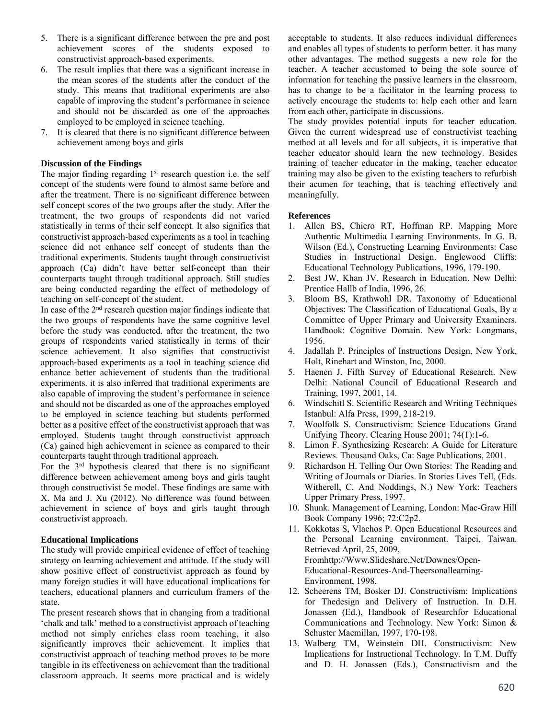- 5. There is a significant difference between the pre and post achievement scores of the students exposed to constructivist approach‐based experiments.
- 6. The result implies that there was a significant increase in the mean scores of the students after the conduct of the study. This means that traditional experiments are also capable of improving the student's performance in science and should not be discarded as one of the approaches employed to be employed in science teaching.
- 7. It is cleared that there is no significant difference between achievement among boys and girls

# **Discussion of the Findings**

The major finding regarding  $1<sup>st</sup>$  research question i.e. the self concept of the students were found to almost same before and after the treatment. There is no significant difference between self concept scores of the two groups after the study. After the treatment, the two groups of respondents did not varied statistically in terms of their self concept. It also signifies that constructivist approach‐based experiments as a tool in teaching science did not enhance self concept of students than the traditional experiments. Students taught through constructivist approach (Ca) didn't have better self-concept than their counterparts taught through traditional approach. Still studies are being conducted regarding the effect of methodology of teaching on self-concept of the student.

In case of the  $2<sup>nd</sup>$  research question major findings indicate that the two groups of respondents have the same cognitive level before the study was conducted. after the treatment, the two groups of respondents varied statistically in terms of their science achievement. It also signifies that constructivist approach‐based experiments as a tool in teaching science did enhance better achievement of students than the traditional experiments. it is also inferred that traditional experiments are also capable of improving the student's performance in science and should not be discarded as one of the approaches employed to be employed in science teaching but students performed better as a positive effect of the constructivist approach that was employed. Students taught through constructivist approach (Ca) gained high achievement in science as compared to their counterparts taught through traditional approach.

For the  $3<sup>rd</sup>$  hypothesis cleared that there is no significant difference between achievement among boys and girls taught through constructivist 5e model. These findings are same with X. Ma and J. Xu (2012). No difference was found between achievement in science of boys and girls taught through constructivist approach.

## **Educational Implications**

The study will provide empirical evidence of effect of teaching strategy on learning achievement and attitude. If the study will show positive effect of constructivist approach as found by many foreign studies it will have educational implications for teachers, educational planners and curriculum framers of the state.

The present research shows that in changing from a traditional 'chalk and talk' method to a constructivist approach of teaching method not simply enriches class room teaching, it also significantly improves their achievement. It implies that constructivist approach of teaching method proves to be more tangible in its effectiveness on achievement than the traditional classroom approach. It seems more practical and is widely

acceptable to students. It also reduces individual differences and enables all types of students to perform better. it has many other advantages. The method suggests a new role for the teacher. A teacher accustomed to being the sole source of information for teaching the passive learners in the classroom, has to change to be a facilitator in the learning process to actively encourage the students to: help each other and learn from each other, participate in discussions.

The study provides potential inputs for teacher education. Given the current widespread use of constructivist teaching method at all levels and for all subjects, it is imperative that teacher educator should learn the new technology. Besides training of teacher educator in the making, teacher educator training may also be given to the existing teachers to refurbish their acumen for teaching, that is teaching effectively and meaningfully.

## **References**

- 1. Allen BS, Chiero RT, Hoffman RP. Mapping More Authentic Multimedia Learning Environments. In G. B. Wilson (Ed.), Constructing Learning Environments: Case Studies in Instructional Design. Englewood Cliffs: Educational Technology Publications, 1996, 179-190.
- 2. Best JW, Khan JV. Research in Education. New Delhi: Prentice Hallb of India, 1996, 26.
- 3. Bloom BS, Krathwohl DR. Taxonomy of Educational Objectives: The Classification of Educational Goals, By a Committee of Upper Primary and University Examiners. Handbook: Cognitive Domain. New York: Longmans, 1956.
- 4. Jadallah P. Principles of Instructions Design, New York, Holt, Rinehart and Winston, Inc, 2000.
- 5. Haenen J. Fifth Survey of Educational Research. New Delhi: National Council of Educational Research and Training, 1997, 2001, 14.
- 6. Windschitl S. Scientific Research and Writing Techniques Istanbul: Alfa Press, 1999, 218-219.
- 7. Woolfolk S. Constructivism: Science Educations Grand Unifying Theory. Clearing House 2001; 74(1):1-6.
- 8. Limon F. Synthesizing Research: A Guide for Literature Reviews. Thousand Oaks, Ca: Sage Publications, 2001.
- 9. Richardson H. Telling Our Own Stories: The Reading and Writing of Journals or Diaries. In Stories Lives Tell, (Eds. Witherell, C. And Noddings, N.) New York: Teachers Upper Primary Press, 1997.
- 10. Shunk. Management of Learning, London: Mac-Graw Hill Book Company 1996; 72:C2p2.
- 11. Kokkotas S, Vlachos P. Open Educational Resources and the Personal Learning environment. Taipei, Taiwan. Retrieved April, 25, 2009, Fromhttp://Www.Slideshare.Net/Downes/Open-Educational-Resources-And-Theersonallearning-Environment, 1998.
- 12. Scheerens TM, Bosker DJ. Constructivism: Implications for Thedesign and Delivery of Instruction. In D.H. Jonassen (Ed.), Handbook of Researchfor Educational Communications and Technology. New York: Simon & Schuster Macmillan, 1997, 170-198.
- 13. Walberg TM, Weinstein DH. Constructivism: New Implications for Instructional Technology. In T.M. Duffy and D. H. Jonassen (Eds.), Constructivism and the